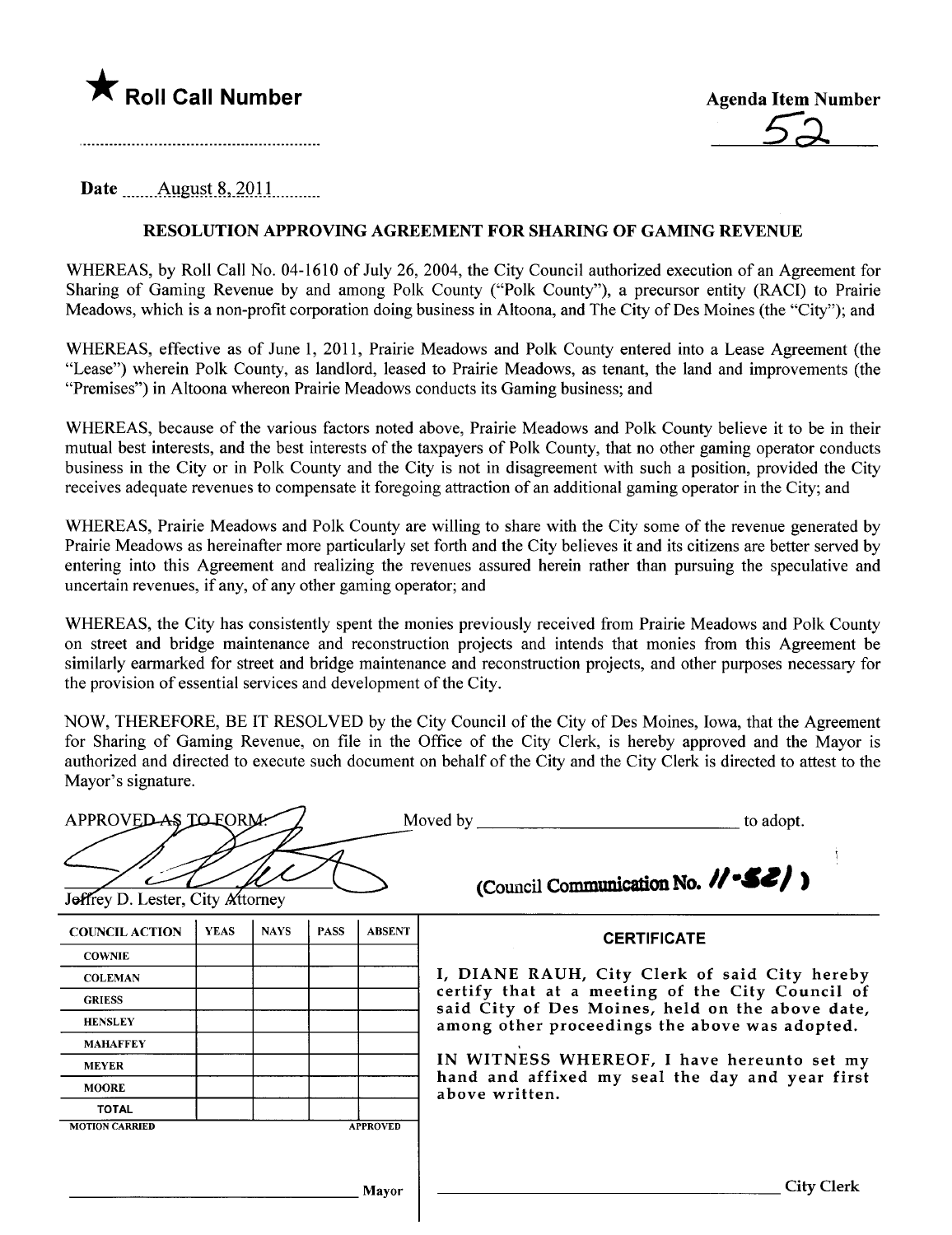



Date August  $8,2011$ 

## RESOLUTION APPROVING AGREEMENT FOR SHARING OF GAMING REVENUE

WHEREAS, by Roll Call No. 04-1610 of July 26, 2004, the City Council authorized execution of an Agreement for Sharing of Gaming Revenue by and among Polk County ("Polk County"), a precursor entity (RACI) to Prairie Meadows, which is a non-profit corporation doing business in Altoona, and The City of Des Moines (the "City"); and

WHEREAS, effective as of June 1, 2011, Prairie Meadows and Polk County entered into a Lease Agreement (the "Lease") wherein Polk County, as landlord, leased to Prairie Meadows, as tenant, the land and improvements (the "Premises") in Altoona whereon Prairie Meadows conducts its Gaming business; and

WHEREAS, because of the various factors noted above, Prairie Meadows and Polk County believe it to be in their mutual best interests, and the best interests of the taxpayers of Polk County, that no other gaming operator conducts business in the City or in Polk County and the City is not in disagreement with such a position, provided the City receives adequate revenues to compensate it foregoing attraction of an additional gaming operator in the City; and

WHEREAS, Prairie Meadows and Polk County are wiling to share with the City some of the revenue generated by Prairie Meadows as hereinafter more particularly set forth and the City believes it and its citizens are better served by entering into this Agreement and realizing the revenues assured herein rather than pursuing the speculative and uncertain revenues, if any, of any other gaming operator; and

WHEREAS, the City has consistently spent the monies previously received from Prairie Meadows and Polk County on street and bridge maintenance and reconstruction projects and intends that monies from this Agreement be similarly earmarked for street and bridge maintenance and reconstruction projects, and other purposes necessary for the provision of essential services and development of the City.

NOW, THEREFORE, BE IT RESOLVED by the City Council of the City of Des Moines, Iowa, that the Agreement for Sharing of Gaming Revenue, on fie in the Office of the City Clerk, is hereby approved and the Mayor is authorized and directed to execute such document on behalf of the City and the City Clerk is directed to attest to the Mayor's signature.

|                                                                       | APPROVED AS TO FORM. |             |             |                 | Moved by<br>to adopt.                                                                                                                                  |  |  |  |
|-----------------------------------------------------------------------|----------------------|-------------|-------------|-----------------|--------------------------------------------------------------------------------------------------------------------------------------------------------|--|--|--|
| (Council Communication No. 11.52)<br>Jeffrey D. Lester, City Attorney |                      |             |             |                 |                                                                                                                                                        |  |  |  |
| <b>COUNCIL ACTION</b>                                                 | <b>YEAS</b>          | <b>NAYS</b> | <b>PASS</b> | <b>ABSENT</b>   | <b>CERTIFICATE</b>                                                                                                                                     |  |  |  |
| <b>COWNIE</b>                                                         |                      |             |             |                 |                                                                                                                                                        |  |  |  |
| <b>COLEMAN</b>                                                        |                      |             |             |                 | I, DIANE RAUH, City Clerk of said City hereby                                                                                                          |  |  |  |
| <b>GRIESS</b>                                                         |                      |             |             |                 | certify that at a meeting of the City Council of<br>said City of Des Moines, held on the above date,<br>among other proceedings the above was adopted. |  |  |  |
| <b>HENSLEY</b>                                                        |                      |             |             |                 |                                                                                                                                                        |  |  |  |
| <b>MAHAFFEY</b>                                                       |                      |             |             |                 |                                                                                                                                                        |  |  |  |
| <b>MEYER</b>                                                          |                      |             |             |                 | IN WITNESS WHEREOF, I have hereunto set my                                                                                                             |  |  |  |
| <b>MOORE</b>                                                          |                      |             |             |                 | hand and affixed my seal the day and year first<br>above written.                                                                                      |  |  |  |
| <b>TOTAL</b>                                                          |                      |             |             |                 |                                                                                                                                                        |  |  |  |
| <b>MOTION CARRIED</b>                                                 |                      |             |             | <b>APPROVED</b> |                                                                                                                                                        |  |  |  |
|                                                                       |                      |             |             | Mayor           | <b>City Clerk</b>                                                                                                                                      |  |  |  |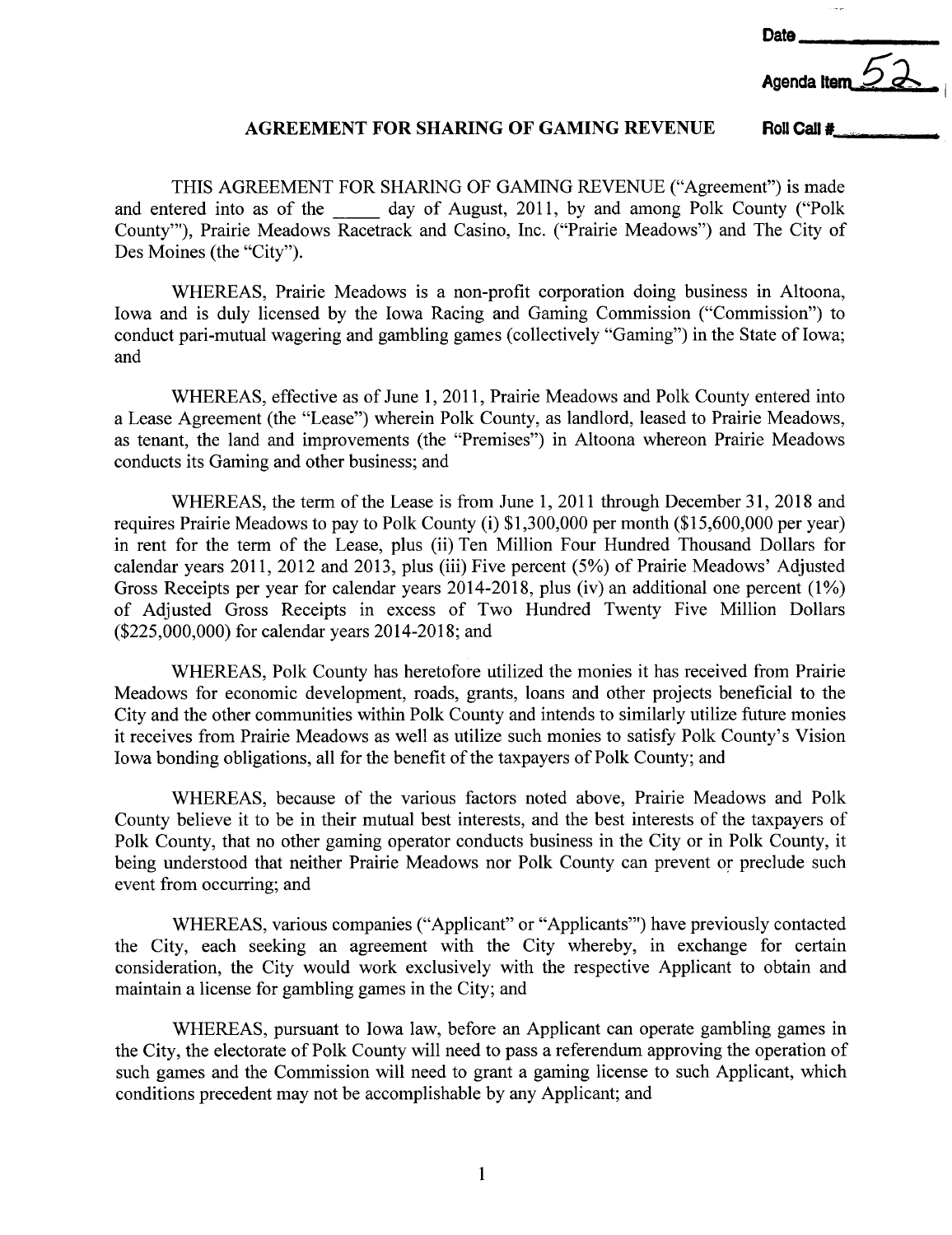Date



## AGREEMENT FOR SHARING OF GAMING REVENUE Roll Call  $\sharp$ .

THIS AGREEMENT FOR SHARING OF GAMING REVENUE ("Agreement") is made and entered into as of the day of August, 2011, by and among Polk County ("Polk County'''), Prairie Meadows Racetrack and Casino, Inc. ("Prairie Meadows") and The City of Des Moines (the "City").

WHEREAS, Prairie Meadows is a non-profit corporation doing business in Altoona, Iowa and is duly licensed by the Iowa Racing and Gaming Commission ("Commission") to conduct pari-mutual wagering and gambling games (collectively "Gaming") in the State of Iowa; and

WHEREAS, effective as of June 1,2011, Prairie Meadows and Polk County entered into a Lease Agreement (the "Lease") wherein Polk County, as landlord, leased to Prairie Meadows, as tenant, the land and improvements (the "Premises") in Altoona whereon Prairie Meadows conducts its Gaming and other business; and

WHEREAS, the term of the Lease is from June 1,2011 through December 31,2018 and requires Prairie Meadows to pay to Polk County (i) \$1,300,000 per month (\$15,600,000 per year) in rent for the term of the Lease, plus (ii) Ten Milion Four Hundred Thousand Dollars for calendar years 2011, 2012 and 2013, plus (iii) Five percent (5%) of Prairie Meadows' Adjusted Gross Receipts per year for calendar years 2014-2018, plus (iv) an additional one percent (1%) of Adjusted Gross Receipts in excess of Two Hundred Twenty Five Milion Dollars (\$225,000,000) for calendar years 2014-2018; and

WHEREAS, Polk County has heretofore utilized the monies it has received from Prairie Meadows for economic development, roads, grants, loans and other projects beneficial to the City and the other communities within Polk County and intends to similarly utilize future monies it receives from Prairie Meadows as well as utilize such monies to satisfy Polk County's Vision Iowa bonding obligations, all for the benefit of the taxpayers of Polk County; and

WHEREAS, because of the various factors noted above, Prairie Meadows and Polk County believe it to be in their mutual best interests, and the best interests of the taxpayers of Polk County, that no other gaming operator conducts business in the City or in Polk County, it being understood that neither Prairie Meadows nor Polk County can prevent or preclude such event from occurring; and

WHEREAS, various companies ("Applicant" or "Applicants''') have previously contacted the City, each seeking an agreement with the City whereby, in exchange for certain consideration, the City would work exclusively with the respective Applicant to obtain and maintain a license for gambling games in the City; and

WHEREAS, pursuant to Iowa law, before an Applicant can operate gambling games in the City, the electorate of Polk County will need to pass a referendum approving the operation of such games and the Commission will need to grant a gaming license to such Applicant, which conditions precedent may not be accomplishable by any Applicant; and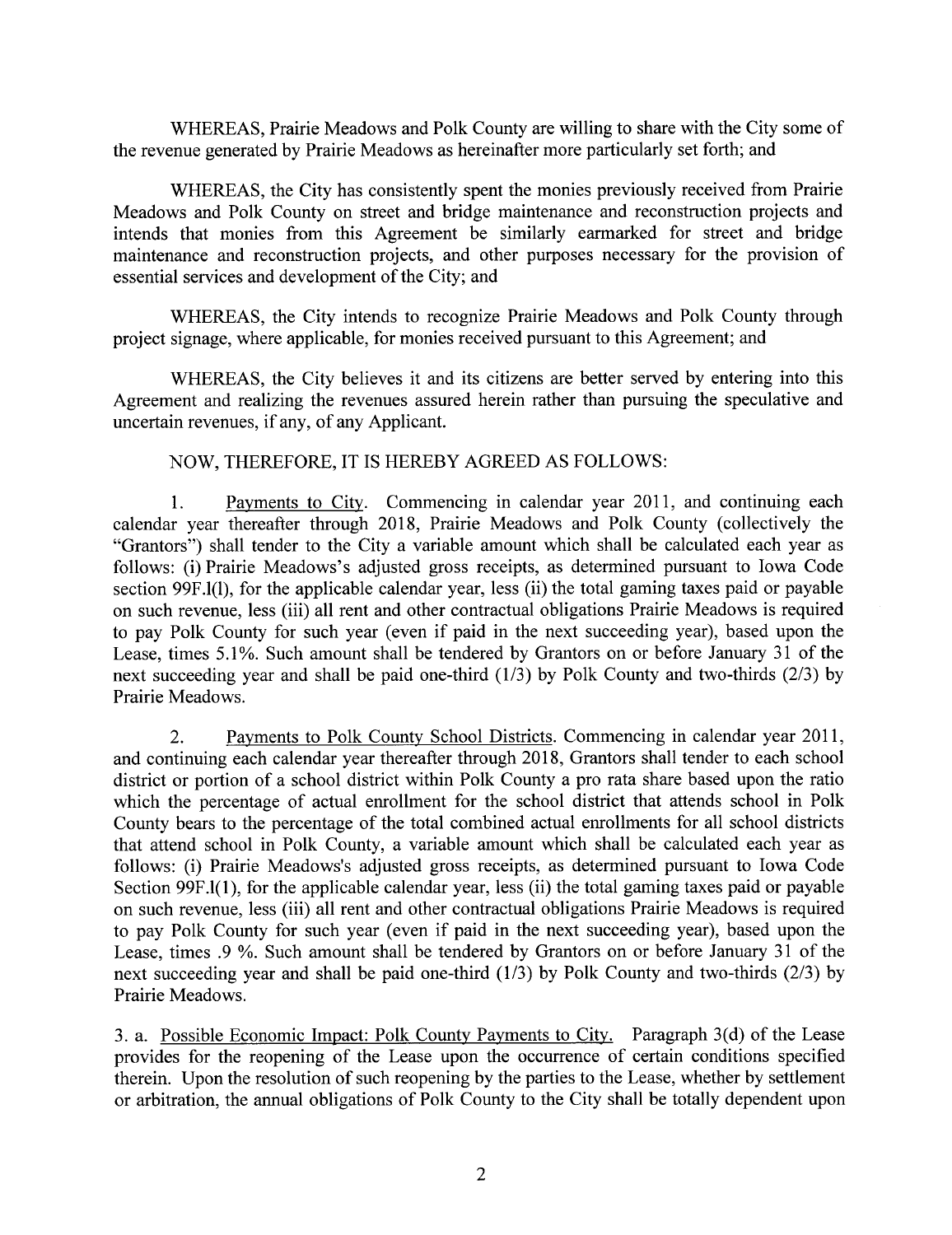WHEREAS, Prairie Meadows and Polk County are wiling to share with the City some of the revenue generated by Prairie Meadows as hereinafter more paricularly set forth; and

WHEREAS, the City has consistently spent the monies previously received from Prairie Meadows and Polk County on street and bridge maintenance and reconstruction projects and intends that monies from this Agreement be similarly eararked for street and bridge maintenance and reconstruction projects, and other purposes necessary for the provision of essential services and development of the City; and

WHEREAS, the City intends to recognize Prairie Meadows and Polk County through project signage, where applicable, for monies received pursuant to this Agreement; and

WHEREAS, the City believes it and its citizens are better served by entering into this Agreement and realizing the revenues assured herein rather than pursuing the speculative and uncertain revenues, if any, of any Applicant.

## NOW, THEREFORE, IT is HEREBY AGREED AS FOLLOWS:

1. Payments to City. Commencing in calendar year 2011, and continuing each calendar year thereafter through 2018, Prairie Meadows and Polk County (collectively the "Grantors") shall tender to the City a variable amount which shall be calculated each year as follows: (i) Prairie Meadows's adjusted gross receipts, as determined pursuant to Iowa Code section 99F.l(1), for the applicable calendar year, less (ii) the total gaming taxes paid or payable on such revenue, less (iii) all rent and other contractual obligations Prairie Meadows is required to pay Polk County for such year (even if paid in the next succeeding year), based upon the Lease, times 5.1%. Such amount shall be tendered by Grantors on or before January 31 of the next succeeding year and shall be paid one-third (1/3) by Polk County and two-thirds (2/3) by Prairie Meadows.

2. Payments to Polk County School Districts. Commencing in calendar year 2011, and continuing each calendar year thereafter through 2018, Grantors shall tender to each school district or portion of a school district within Polk County a pro rata share based upon the ratio which the percentage of actual enrollment for the school district that attends school in Polk County bears to the percentage of the total combined actual enrollments for all school districts that attend school in Polk County, a variable amount which shall be calculated each year as follows: (i) Prairie Meadows's adjusted gross receipts, as determined pursuant to Iowa Code Section 99F.l(1), for the applicable calendar year, less (ii) the total gaming taxes paid or payable on such revenue, less (iii) all rent and other contractual obligations Prairie Meadows is required to pay Polk County for such year (even if paid in the next succeeding year), based upon the Lease, times .9 %. Such amount shall be tendered by Grantors on or before January 31 of the next succeeding year and shall be paid one-third (1/3) by Polk County and two-thirds (2/3) by Prairie Meadows.

3. a. Possible Economic Impact: Polk County Payments to City. Paragraph 3(d) of the Lease provides for the reopening of the Lease upon the occurrence of certain conditions specified therein. Upon the resolution of such reopening by the parties to the Lease, whether by settlement or arbitration, the anual obligations of Polk County to the City shall be totally dependent upon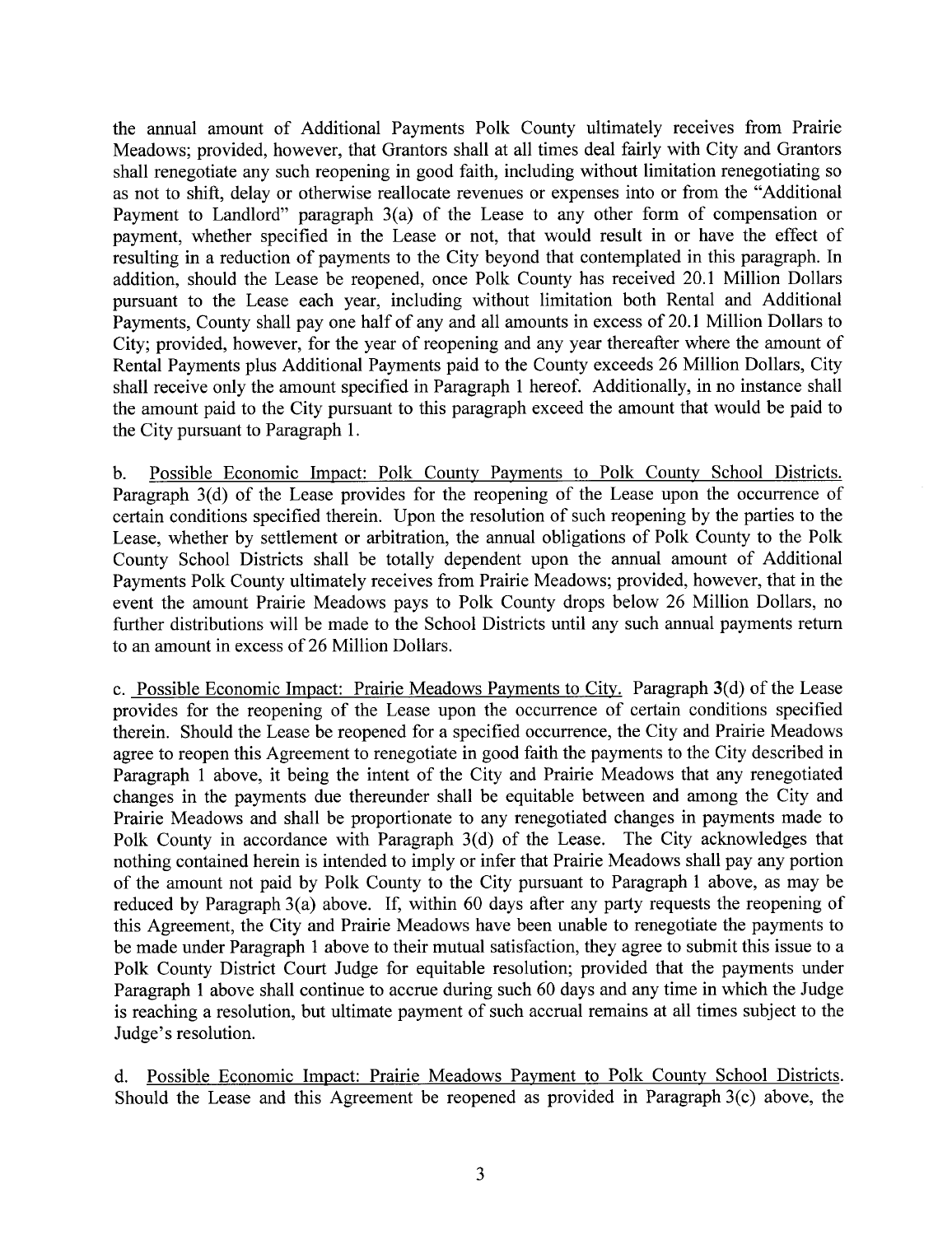the annual amount of Additional Payments Polk County ultimately receives from Prairie Meadows; provided, however, that Grantors shall at all times deal fairly with City and Grantors shall renegotiate any such reopening in good faith, including without limitation renegotiating so as not to shift, delay or otherwise reallocate revenues or expenses into or from the "Additional Payment to Landlord" paragraph 3(a) of the Lease to any other form of compensation or payment, whether specified in the Lease or not, that would result in or have the effect of resulting in a reduction of payments to the City beyond that contemplated in this paragraph. In addition, should the Lease be reopened, once Polk County has received 20.1 Milion Dollars pursuant to the Lease each year, including without limitation both Rental and Additional Payments, County shall pay one half of any and all amounts in excess of 20.1 Million Dollars to City; provided, however, for the year of reopening and any year thereafter where the amount of Rental Payments plus Additional Payments paid to the County exceeds 26 Milion Dollars, City shall receive only the amount specified in Paragraph 1 hereof. Additionally, in no instance shall the amount paid to the City pursuant to this paragraph exceed the amount that would be paid to the City pursuant to Paragraph 1.

b. Possible Economic Impact: Polk County Payments to Polk County School Districts. Paragraph 3(d) of the Lease provides for the reopening of the Lease upon the occurrence of certain conditions specified therein. Upon the resolution of such reopening by the parties to the Lease, whether by settlement or arbitration, the annual obligations of Polk County to the Polk County School Districts shall be totally dependent upon the annual amount of Additional Payments Polk County ultimately receives from Prairie Meadows; provided, however, that in the event the amount Prairie Meadows pays to Polk County drops below 26 Millon Dollars, no further distributions will be made to the School Districts until any such annual payments return to an amount in excess of 26 Million Dollars.

c. Possible Economic Impact: Prairie Meadows Payments to City. Paragraph 3(d) of the Lease provides for the reopening of the Lease upon the occurrence of certain conditions specified therein. Should the Lease be reopened for a specified occurrence, the City and Prairie Meadows agree to reopen this Agreement to renegotiate in good faith the payments to the City described in Paragraph 1 above, it being the intent of the City and Prairie Meadows that any renegotiated changes in the payments due thereunder shall be equitable between and among the City and Prairie Meadows and shall be proportionate to any renegotiated changes in payments made to Polk County in accordance with Paragraph 3(d) of the Lease. The City acknowledges that nothing contained herein is intended to imply or infer that Prairie Meadows shall pay any portion of the amount not paid by Polk County to the City pursuant to Paragraph 1 above, as may be reduced by Paragraph 3(a) above. If, within 60 days after any party requests the reopening of this Agreement, the City and Prairie Meadows have been unable to renegotiate the payments to be made under Paragraph 1 above to their mutual satisfaction, they agree to submit this issue to a Polk County District Court Judge for equitable resolution; provided that the payments under Paragraph 1 above shall continue to accrue during such 60 days and any time in which the Judge is reaching a resolution, but ultimate payment of such accrual remains at all times subject to the Judge's resolution.

d. Possible Economic Impact: Prairie Meadows Payment to Polk County School Districts. Should the Lease and this Agreement be reopened as provided in Paragraph  $3(c)$  above, the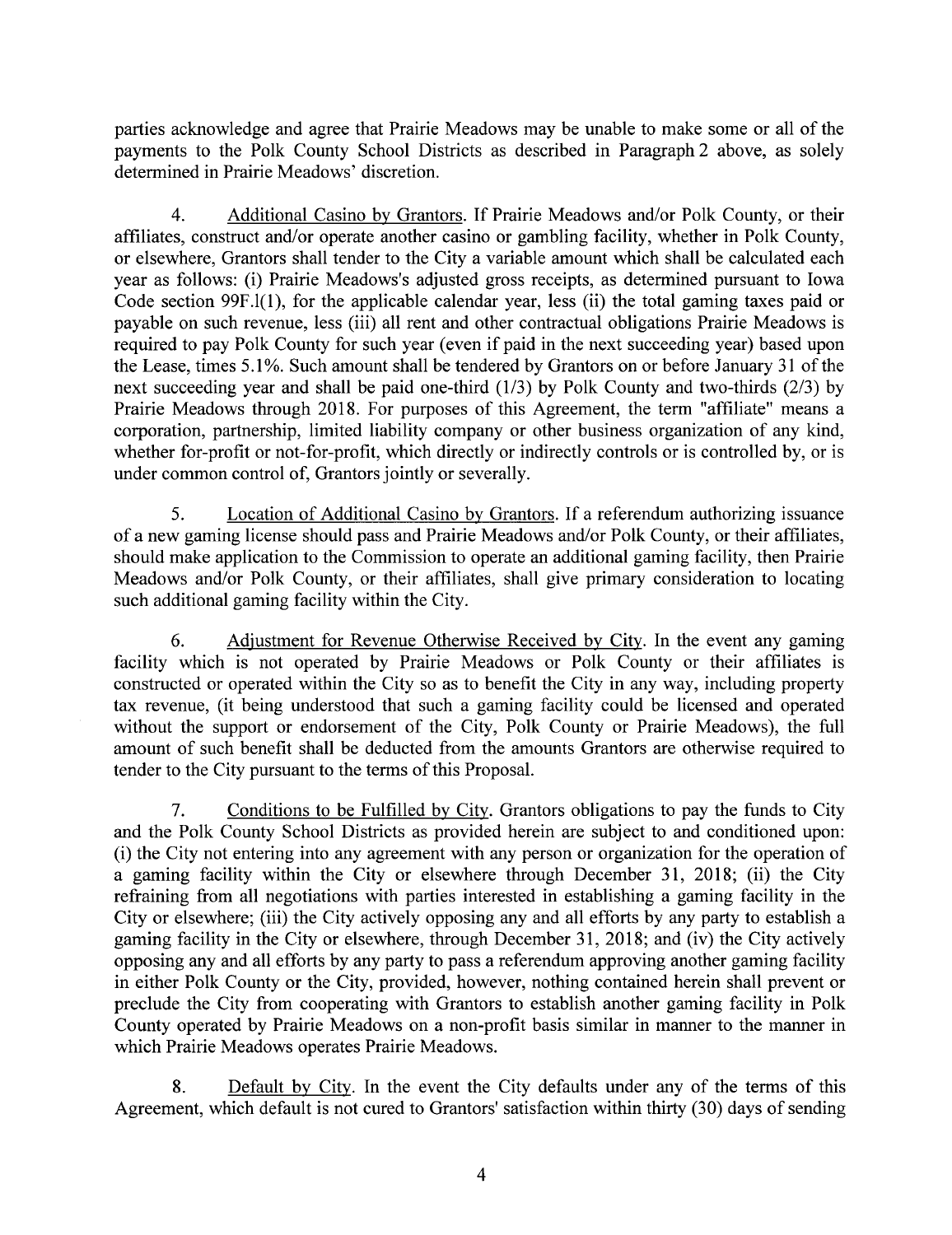paries acknowledge and agree that Prairie Meadows may be unable to make some or all of the payments to the Polk County School Districts as described in Paragraph 2 above, as solely determined in Prairie Meadows' discretion.

4. Additional Casino by Grantors. If Prairie Meadows and/or Polk County, or their affiiates, construct and/or operate another casino or gambling facility, whether in Polk County, or elsewhere, Grantors shall tender to the City a variable amount which shall be calculated each year as follows: (i) Prairie Meadows's adjusted gross receipts, as determined pursuant to Iowa Code section 99F.1(1), for the applicable calendar year, less (ii) the total gaming taxes paid or payable on such revenue, less (iii) all rent and other contractual obligations Prairie Meadows is required to pay Polk County for such year (even if paid in the next succeeding year) based upon the Lease, times 5.1 %. Such amount shall be tendered by Grantors on or before January 31 of the next succeeding year and shall be paid one-third (1/3) by Polk County and two-thirds (2/3) by Prairie Meadows through 2018. For purposes of this Agreement, the term "affiliate" means a corporation, partnership, limited liability company or other business organization of any kind, whether for-profit or not-for-profit, which directly or indirectly controls or is controlled by, or is under common control of, Grantors jointly or severally.

5. Location of Additional Casino by Grantors. If a referendum authorizing issuance of a new gaming license should pass and Prairie Meadows and/or Polk County, or their affliates, should make application to the Commission to operate an additional gaming facility, then Prairie Meadows and/or Polk County, or their affliates, shall give primary consideration to locating such additional gaming facility within the City.

6. Adjustment for Revenue Otherwise Received by City. In the event any gaming facility which is not operated by Prairie Meadows or Polk County or their affiiates is constructed or operated within the City so as to benefit the City in any way, including property tax revenue, (it being understood that such a gaming facility could be licensed and operated without the support or endorsement of the City, Polk County or Prairie Meadows), the full amount of such benefit shall be deducted from the amounts Grantors are otherwise required to tender to the City pursuant to the terms of this ProposaL.

7. Conditions to be Fulfilled by City. Grantors obligations to pay the fuds to City and the Polk County School Districts as provided herein are subject to and conditioned upon: (i) the City not entering into any agreement with any person or organization for the operation of a gaming facility within the City or elsewhere through December 31, 2018; (ii) the City refraining from all negotiations with parties interested in establishing a gaming facility in the City or elsewhere; (iii) the City actively opposing any and all efforts by any party to establish a gaming facility in the City or elsewhere, through December 31, 2018; and (iv) the City actively opposing any and all efforts by any party to pass a referendum approving another gaming facility in either Polk County or the City, provided, however, nothing contained herein shall prevent or preclude the City from cooperating with Grantors to establish another gaming facility in Polk County operated by Prairie Meadows on a non-profit basis similar in manner to the manner in which Prairie Meadows operates Prairie Meadows.

8. Default by City. In the event the City defaults under any of the terms of this Agreement, which default is not cured to Grantors' satisfaction within thirty (30) days of sending